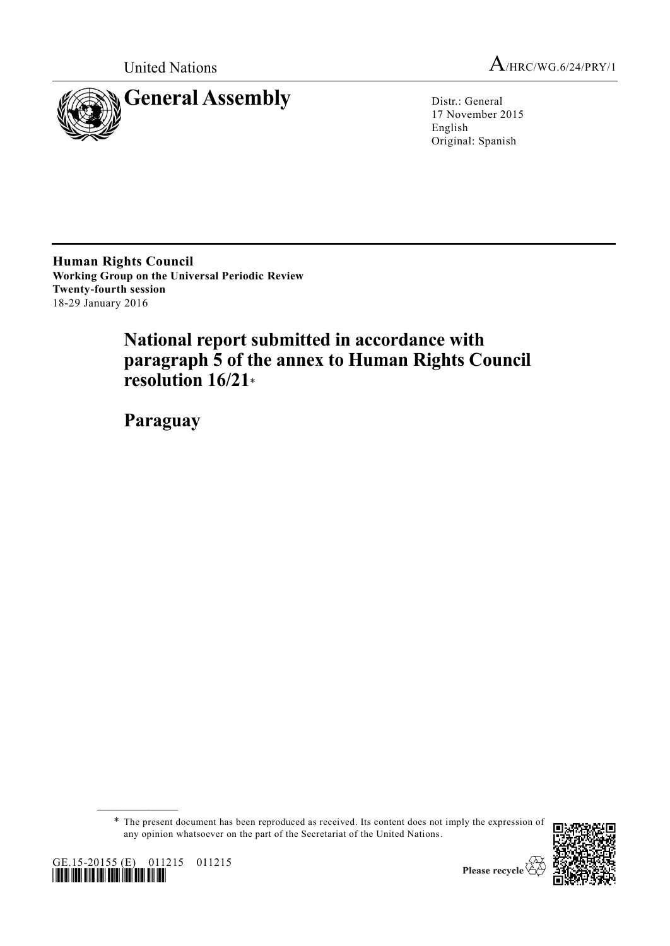



17 November 2015 English Original: Spanish

**Human Rights Council Working Group on the Universal Periodic Review Twenty-fourth session** 18-29 January 2016

# **National report submitted in accordance with paragraph 5 of the annex to Human Rights Council resolution 16/21**\*

**Paraguay**

\* The present document has been reproduced as received. Its content does not imply the expression of any opinion whatsoever on the part of the Secretariat of the United Nations.



**\_\_\_\_\_\_\_\_\_\_\_\_\_\_\_\_\_\_**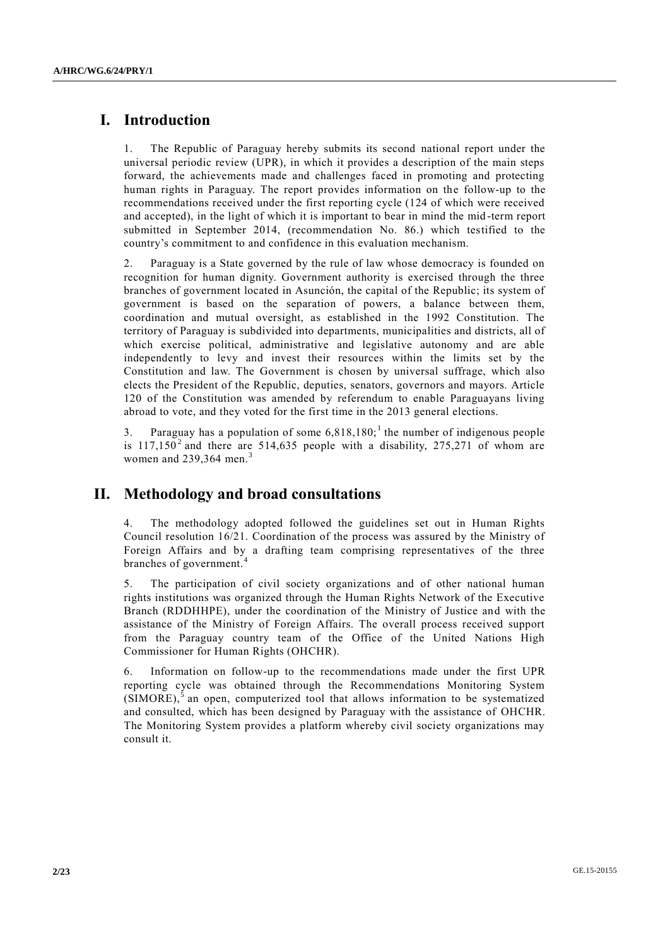# **I. Introduction**

1. The Republic of Paraguay hereby submits its second national report under the universal periodic review (UPR), in which it provides a description of the main steps forward, the achievements made and challenges faced in promoting and protecting human rights in Paraguay. The report provides information on the follow-up to the recommendations received under the first reporting cycle (124 of which were received and accepted), in the light of which it is important to bear in mind the mid -term report submitted in September 2014, (recommendation No. 86.) which testified to the country's commitment to and confidence in this evaluation mechanism.

2. Paraguay is a State governed by the rule of law whose democracy is founded on recognition for human dignity. Government authority is exercised through the three branches of government located in Asunción, the capital of the Republic; its system of government is based on the separation of powers, a balance between them, coordination and mutual oversight, as established in the 1992 Constitution. The territory of Paraguay is subdivided into departments, municipalities and districts, all of which exercise political, administrative and legislative autonomy and are able independently to levy and invest their resources within the limits set by the Constitution and law. The Government is chosen by universal suffrage, which also elects the President of the Republic, deputies, senators, governors and mayors. Article 120 of the Constitution was amended by referendum to enable Paraguayans living abroad to vote, and they voted for the first time in the 2013 general elections.

3. Paraguay has a population of some  $6,818,180<sup>1</sup>$ , the number of indigenous people is  $117,150<sup>2</sup>$  and there are 514,635 people with a disability, 275,271 of whom are women and  $239,364$  men.<sup>3</sup>

# **II. Methodology and broad consultations**

The methodology adopted followed the guidelines set out in Human Rights Council resolution 16/21. Coordination of the process was assured by the Ministry of Foreign Affairs and by a drafting team comprising representatives of the three branches of government.

The participation of civil society organizations and of other national human rights institutions was organized through the Human Rights Network of the Executive Branch (RDDHHPE), under the coordination of the Ministry of Justice and with the assistance of the Ministry of Foreign Affairs. The overall process received support from the Paraguay country team of the Office of the United Nations High Commissioner for Human Rights (OHCHR).

6. Information on follow-up to the recommendations made under the first UPR reporting cycle was obtained through the Recommendations Monitoring System  $(SIMORE),$ <sup>5</sup> an open, computerized tool that allows information to be systematized and consulted, which has been designed by Paraguay with the assistance of OHCHR. The Monitoring System provides a platform whereby civil society organizations may consult it.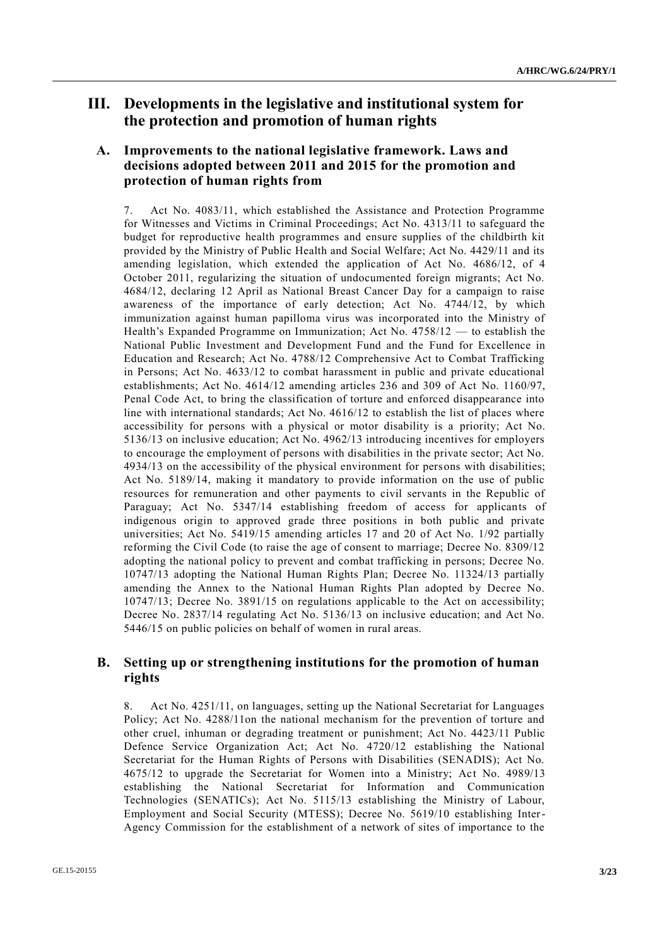# **III. Developments in the legislative and institutional system for the protection and promotion of human rights**

# **A. Improvements to the national legislative framework. Laws and decisions adopted between 2011 and 2015 for the promotion and protection of human rights from**

7. Act No. 4083/11, which established the Assistance and Protection Programme for Witnesses and Victims in Criminal Proceedings; Act No. 4313/11 to safeguard the budget for reproductive health programmes and ensure supplies of the childbirth kit provided by the Ministry of Public Health and Social Welfare; Act No. 4429/11 and its amending legislation, which extended the application of Act No. 4686/12, of 4 October 2011, regularizing the situation of undocumented foreign migrants; Act No. 4684/12, declaring 12 April as National Breast Cancer Day for a campaign to raise awareness of the importance of early detection; Act No. 4744/12, by which immunization against human papilloma virus was incorporated into the Ministry of Health's Expanded Programme on Immunization; Act No. 4758/12 — to establish the National Public Investment and Development Fund and the Fund for Excellence in Education and Research; Act No. 4788/12 Comprehensive Act to Combat Trafficking in Persons; Act No. 4633/12 to combat harassment in public and private educational establishments; Act No. 4614/12 amending articles 236 and 309 of Act No. 1160/97, Penal Code Act, to bring the classification of torture and enforced disappearance into line with international standards; Act No. 4616/12 to establish the list of places where accessibility for persons with a physical or motor disability is a priority; Act No. 5136/13 on inclusive education; Act No. 4962/13 introducing incentives for employers to encourage the employment of persons with disabilities in the private sector; Act No. 4934/13 on the accessibility of the physical environment for persons with disabilities; Act No. 5189/14, making it mandatory to provide information on the use of public resources for remuneration and other payments to civil servants in the Republic of Paraguay; Act No. 5347/14 establishing freedom of access for applicants of indigenous origin to approved grade three positions in both public and private universities; Act No. 5419/15 amending articles 17 and 20 of Act No. 1/92 partially reforming the Civil Code (to raise the age of consent to marriage; Decree No. 8309/12 adopting the national policy to prevent and combat trafficking in persons; Decree No. 10747/13 adopting the National Human Rights Plan; Decree No. 11324/13 partially amending the Annex to the National Human Rights Plan adopted by Decree No. 10747/13; Decree No. 3891/15 on regulations applicable to the Act on accessibility; Decree No. 2837/14 regulating Act No. 5136/13 on inclusive education; and Act No. 5446/15 on public policies on behalf of women in rural areas.

# **B. Setting up or strengthening institutions for the promotion of human rights**

8. Act No. 4251/11, on languages, setting up the National Secretariat for Languages Policy; Act No. 4288/11on the national mechanism for the prevention of torture and other cruel, inhuman or degrading treatment or punishment; Act No. 4423/11 Public Defence Service Organization Act; Act No. 4720/12 establishing the National Secretariat for the Human Rights of Persons with Disabilities (SENADIS); Act No. 4675/12 to upgrade the Secretariat for Women into a Ministry; Act No. 4989/13 establishing the National Secretariat for Information and Communication Technologies (SENATICs); Act No. 5115/13 establishing the Ministry of Labour, Employment and Social Security (MTESS); Decree No. 5619/10 establishing Inter-Agency Commission for the establishment of a network of sites of importance to the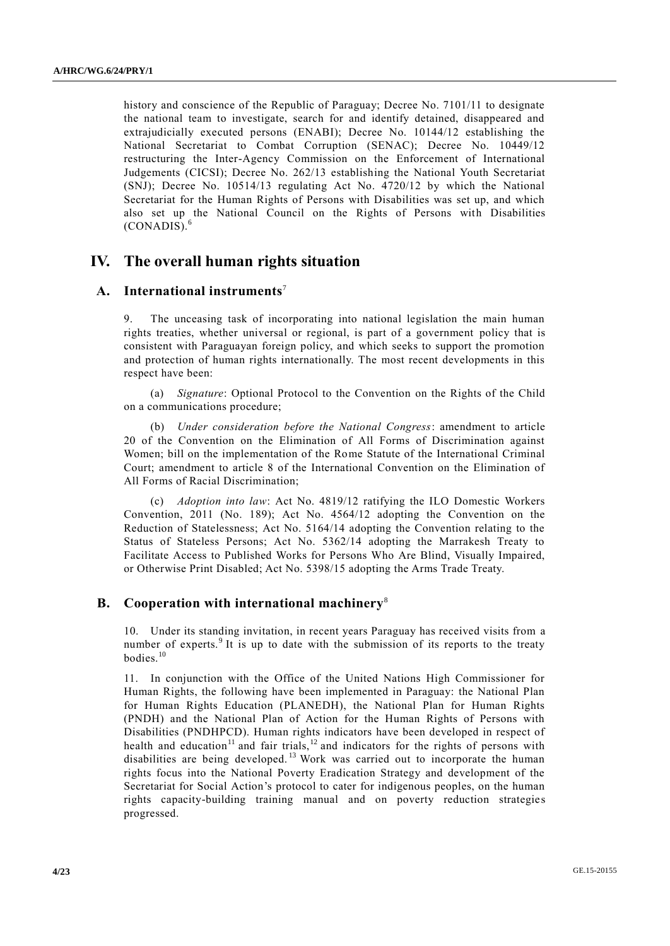history and conscience of the Republic of Paraguay; Decree No. 7101/11 to designate the national team to investigate, search for and identify detained, disappeared and extrajudicially executed persons (ENABI); Decree No. 10144/12 establishing the National Secretariat to Combat Corruption (SENAC); Decree No. 10449/12 restructuring the Inter-Agency Commission on the Enforcement of International Judgements (CICSI); Decree No. 262/13 establishing the National Youth Secretariat (SNJ); Decree No. 10514/13 regulating Act No. 4720/12 by which the National Secretariat for the Human Rights of Persons with Disabilities was set up, and which also set up the National Council on the Rights of Persons with Disabilities (CONADIS).<sup>6</sup>

# **IV. The overall human rights situation**

#### **A. International instruments**<sup>7</sup>

The unceasing task of incorporating into national legislation the main human rights treaties, whether universal or regional, is part of a government policy that is consistent with Paraguayan foreign policy, and which seeks to support the promotion and protection of human rights internationally. The most recent developments in this respect have been:

(a) *Signature*: Optional Protocol to the Convention on the Rights of the Child on a communications procedure;

(b) *Under consideration before the National Congress*: amendment to article 20 of the Convention on the Elimination of All Forms of Discrimination against Women; bill on the implementation of the Rome Statute of the International Criminal Court; amendment to article 8 of the International Convention on the Elimination of All Forms of Racial Discrimination;

(c) *Adoption into law*: Act No. 4819/12 ratifying the ILO Domestic Workers Convention, 2011 (No. 189); Act No. 4564/12 adopting the Convention on the Reduction of Statelessness; Act No. 5164/14 adopting the Convention relating to the Status of Stateless Persons; Act No. 5362/14 adopting the Marrakesh Treaty to Facilitate Access to Published Works for Persons Who Are Blind, Visually Impaired, or Otherwise Print Disabled; Act No. 5398/15 adopting the Arms Trade Treaty.

#### **B. Cooperation with international machinery**<sup>8</sup>

10. Under its standing invitation, in recent years Paraguay has received visits from a number of experts.<sup>9</sup> It is up to date with the submission of its reports to the treaty bodies.<sup>10</sup>

11. In conjunction with the Office of the United Nations High Commissioner for Human Rights, the following have been implemented in Paraguay: the National Plan for Human Rights Education (PLANEDH), the National Plan for Human Rights (PNDH) and the National Plan of Action for the Human Rights of Persons with Disabilities (PNDHPCD). Human rights indicators have been developed in respect of health and education<sup>11</sup> and fair trials,<sup>12</sup> and indicators for the rights of persons with disabilities are being developed.<sup>13</sup> Work was carried out to incorporate the human rights focus into the National Poverty Eradication Strategy and development of the Secretariat for Social Action's protocol to cater for indigenous peoples, on the human rights capacity-building training manual and on poverty reduction strategies progressed.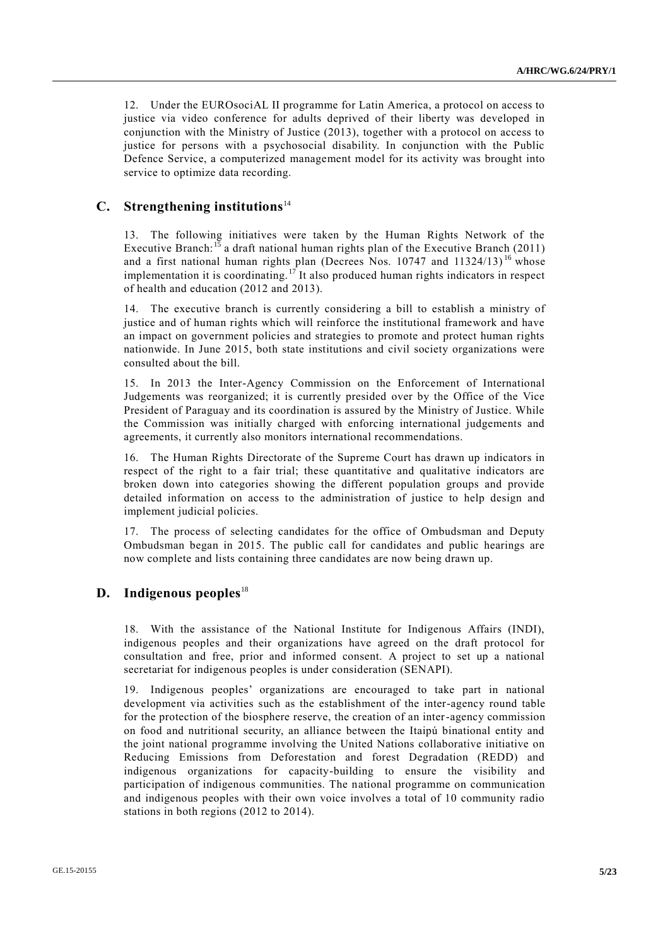12. Under the EUROsociAL II programme for Latin America, a protocol on access to justice via video conference for adults deprived of their liberty was developed in conjunction with the Ministry of Justice (2013), together with a protocol on access to justice for persons with a psychosocial disability. In conjunction with the Public Defence Service, a computerized management model for its activity was brought into service to optimize data recording.

# **C. Strengthening institutions**<sup>14</sup>

13. The following initiatives were taken by the Human Rights Network of the Executive Branch:<sup>15</sup> a draft national human rights plan of the Executive Branch (2011) and a first national human rights plan (Decrees Nos.  $10747$  and  $11324/13$ )<sup>16</sup> whose implementation it is coordinating.<sup>17</sup> It also produced human rights indicators in respect of health and education (2012 and 2013).

14. The executive branch is currently considering a bill to establish a ministry of justice and of human rights which will reinforce the institutional framework and have an impact on government policies and strategies to promote and protect human rights nationwide. In June 2015, both state institutions and civil society organizations were consulted about the bill.

15. In 2013 the Inter-Agency Commission on the Enforcement of International Judgements was reorganized; it is currently presided over by the Office of the Vice President of Paraguay and its coordination is assured by the Ministry of Justice. While the Commission was initially charged with enforcing international judgements and agreements, it currently also monitors international recommendations.

16. The Human Rights Directorate of the Supreme Court has drawn up indicators in respect of the right to a fair trial; these quantitative and qualitative indicators are broken down into categories showing the different population groups and provide detailed information on access to the administration of justice to help design and implement judicial policies.

17. The process of selecting candidates for the office of Ombudsman and Deputy Ombudsman began in 2015. The public call for candidates and public hearings are now complete and lists containing three candidates are now being drawn up.

#### **D. Indigenous peoples**<sup>18</sup>

18. With the assistance of the National Institute for Indigenous Affairs (INDI), indigenous peoples and their organizations have agreed on the draft protocol for consultation and free, prior and informed consent. A project to set up a national secretariat for indigenous peoples is under consideration (SENAPI).

19. Indigenous peoples' organizations are encouraged to take part in national development via activities such as the establishment of the inter-agency round table for the protection of the biosphere reserve, the creation of an inter-agency commission on food and nutritional security, an alliance between the Itaipú binational entity and the joint national programme involving the United Nations collaborative initiative on Reducing Emissions from Deforestation and forest Degradation (REDD) and indigenous organizations for capacity-building to ensure the visibility and participation of indigenous communities. The national programme on communication and indigenous peoples with their own voice involves a total of 10 community radio stations in both regions (2012 to 2014).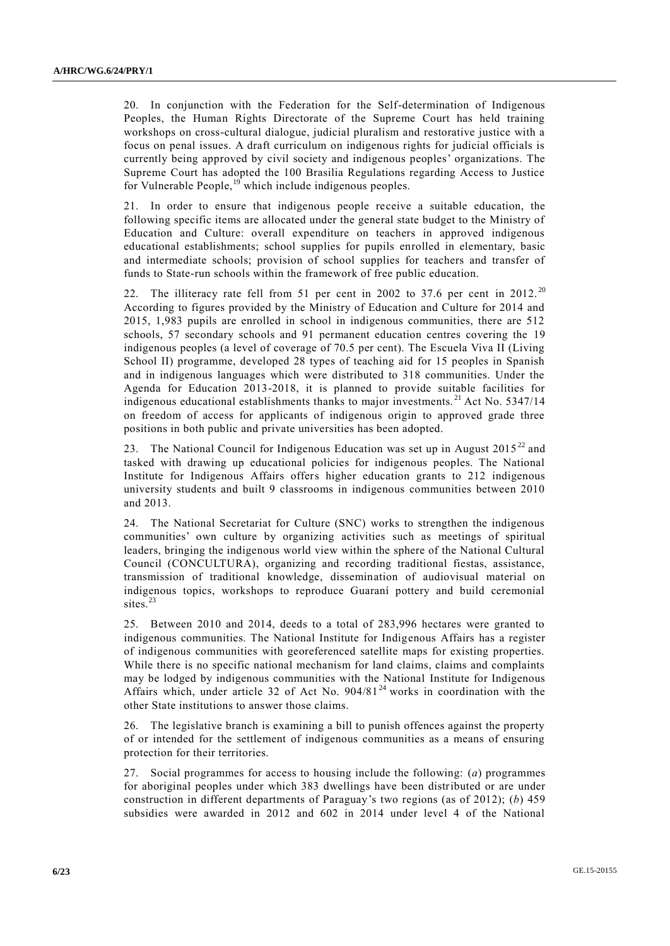20. In conjunction with the Federation for the Self-determination of Indigenous Peoples, the Human Rights Directorate of the Supreme Court has held training workshops on cross-cultural dialogue, judicial pluralism and restorative justice with a focus on penal issues. A draft curriculum on indigenous rights for judicial officials is currently being approved by civil society and indigenous peoples' organizations. The Supreme Court has adopted the 100 Brasilia Regulations regarding Access to Justice for Vulnerable People, $^{19}$  which include indigenous peoples.

21. In order to ensure that indigenous people receive a suitable education, the following specific items are allocated under the general state budget to the Ministry of Education and Culture: overall expenditure on teachers in approved indigenous educational establishments; school supplies for pupils enrolled in elementary, basic and intermediate schools; provision of school supplies for teachers and transfer of funds to State-run schools within the framework of free public education.

22. The illiteracy rate fell from 51 per cent in 2002 to 37.6 per cent in 2012. <sup>20</sup> According to figures provided by the Ministry of Education and Culture for 2014 and 2015, 1,983 pupils are enrolled in school in indigenous communities, there are 512 schools, 57 secondary schools and 91 permanent education centres covering the 19 indigenous peoples (a level of coverage of 70.5 per cent). The Escuela Viva II (Living School II) programme, developed 28 types of teaching aid for 15 peoples in Spanish and in indigenous languages which were distributed to 318 communities. Under the Agenda for Education 2013-2018, it is planned to provide suitable facilities for indigenous educational establishments thanks to major investments.<sup>21</sup> Act No. 5347/14 on freedom of access for applicants of indigenous origin to approved grade three positions in both public and private universities has been adopted.

23. The National Council for Indigenous Education was set up in August 2015<sup>22</sup> and tasked with drawing up educational policies for indigenous peoples. The National Institute for Indigenous Affairs offers higher education grants to 212 indigenous university students and built 9 classrooms in indigenous communities between 2010 and 2013.

24. The National Secretariat for Culture (SNC) works to strengthen the indigenous communities' own culture by organizing activities such as meetings of spiritual leaders, bringing the indigenous world view within the sphere of the National Cultural Council (CONCULTURA), organizing and recording traditional fiestas, assistance, transmission of traditional knowledge, dissemination of audiovisual material on indigenous topics, workshops to reproduce Guaraní pottery and build ceremonial sites.<sup>23</sup>

25. Between 2010 and 2014, deeds to a total of 283,996 hectares were granted to indigenous communities. The National Institute for Indigenous Affairs has a register of indigenous communities with georeferenced satellite maps for existing properties. While there is no specific national mechanism for land claims, claims and complaints may be lodged by indigenous communities with the National Institute for Indigenous Affairs which, under article 32 of Act No.  $904/81<sup>24</sup>$  works in coordination with the other State institutions to answer those claims.

26. The legislative branch is examining a bill to punish offences against the property of or intended for the settlement of indigenous communities as a means of ensuring protection for their territories.

27. Social programmes for access to housing include the following: (*a*) programmes for aboriginal peoples under which 383 dwellings have been distributed or are under construction in different departments of Paraguay's two regions (as of 2012); (*b*) 459 subsidies were awarded in 2012 and 602 in 2014 under level 4 of the National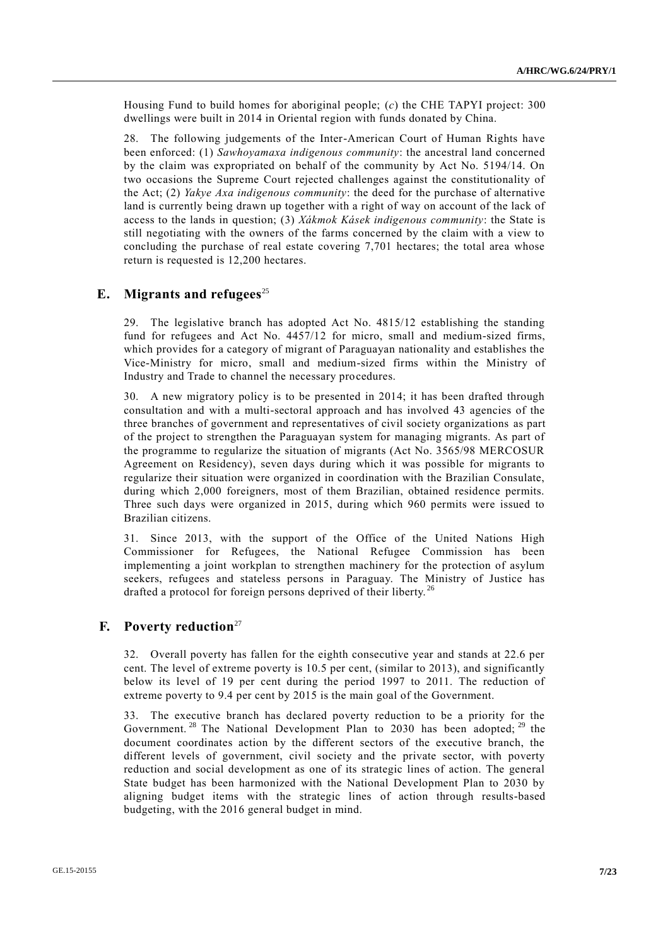Housing Fund to build homes for aboriginal people; (*c*) the CHE TAPYI project: 300 dwellings were built in 2014 in Oriental region with funds donated by China.

28. The following judgements of the Inter-American Court of Human Rights have been enforced: (1) *Sawhoyamaxa indigenous community*: the ancestral land concerned by the claim was expropriated on behalf of the community by Act No. 5194/14. On two occasions the Supreme Court rejected challenges against the constitutionality of the Act; (2) *Yakye Axa indigenous community*: the deed for the purchase of alternative land is currently being drawn up together with a right of way on account of the lack of access to the lands in question; (3) *Xákmok Kásek indigenous community*: the State is still negotiating with the owners of the farms concerned by the claim with a view to concluding the purchase of real estate covering 7,701 hectares; the total area whose return is requested is 12,200 hectares.

# **E.** Migrants and refugees<sup>25</sup>

29. The legislative branch has adopted Act No. 4815/12 establishing the standing fund for refugees and Act No. 4457/12 for micro, small and medium-sized firms, which provides for a category of migrant of Paraguayan nationality and establishes the Vice-Ministry for micro, small and medium-sized firms within the Ministry of Industry and Trade to channel the necessary procedures.

30. A new migratory policy is to be presented in 2014; it has been drafted through consultation and with a multi-sectoral approach and has involved 43 agencies of the three branches of government and representatives of civil society organizations as part of the project to strengthen the Paraguayan system for managing migrants. As part of the programme to regularize the situation of migrants (Act No. 3565/98 MERCOSUR Agreement on Residency), seven days during which it was possible for migrants to regularize their situation were organized in coordination with the Brazilian Consulate, during which 2,000 foreigners, most of them Brazilian, obtained residence permits. Three such days were organized in 2015, during which 960 permits were issued to Brazilian citizens.

31. Since 2013, with the support of the Office of the United Nations High Commissioner for Refugees, the National Refugee Commission has been implementing a joint workplan to strengthen machinery for the protection of asylum seekers, refugees and stateless persons in Paraguay. The Ministry of Justice has drafted a protocol for foreign persons deprived of their liberty.<sup>26</sup>

#### **F. Poverty reduction**<sup>27</sup>

32. Overall poverty has fallen for the eighth consecutive year and stands at 22.6 per cent. The level of extreme poverty is 10.5 per cent, (similar to 2013), and significantly below its level of 19 per cent during the period 1997 to 2011. The reduction of extreme poverty to 9.4 per cent by 2015 is the main goal of the Government.

33. The executive branch has declared poverty reduction to be a priority for the Government.<sup>28</sup> The National Development Plan to 2030 has been adopted;  $^{29}$  the document coordinates action by the different sectors of the executive branch, the different levels of government, civil society and the private sector, with poverty reduction and social development as one of its strategic lines of action. The general State budget has been harmonized with the National Development Plan to 2030 by aligning budget items with the strategic lines of action through results-based budgeting, with the 2016 general budget in mind.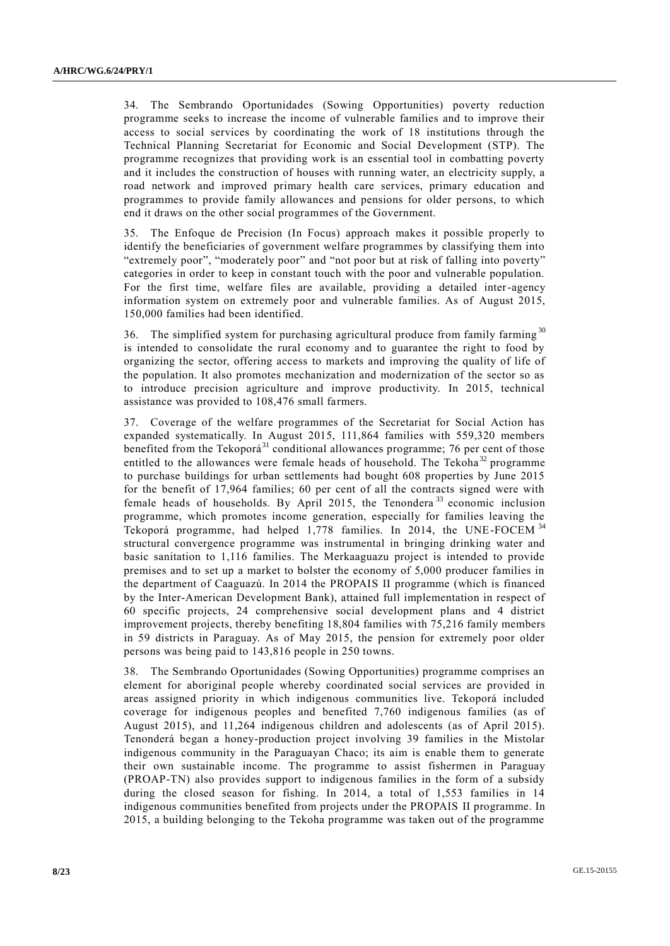34. The Sembrando Oportunidades (Sowing Opportunities) poverty reduction programme seeks to increase the income of vulnerable families and to improve their access to social services by coordinating the work of 18 institutions through the Technical Planning Secretariat for Economic and Social Development (STP). The programme recognizes that providing work is an essential tool in combatting poverty and it includes the construction of houses with running water, an electricity supply, a road network and improved primary health care services, primary education and programmes to provide family allowances and pensions for older persons, to which end it draws on the other social programmes of the Government.

35. The Enfoque de Precision (In Focus) approach makes it possible properly to identify the beneficiaries of government welfare programmes by classifying them into "extremely poor", "moderately poor" and "not poor but at risk of falling into poverty" categories in order to keep in constant touch with the poor and vulnerable population. For the first time, welfare files are available, providing a detailed inter-agency information system on extremely poor and vulnerable families. As of August 2015, 150,000 families had been identified.

36. The simplified system for purchasing agricultural produce from family farming <sup>30</sup> is intended to consolidate the rural economy and to guarantee the right to food by organizing the sector, offering access to markets and improving the quality of life of the population. It also promotes mechanization and modernization of the sector so as to introduce precision agriculture and improve productivity. In 2015, technical assistance was provided to 108,476 small farmers.

37. Coverage of the welfare programmes of the Secretariat for Social Action has expanded systematically. In August 2015, 111,864 families with 559,320 members benefited from the Tekoporá $31$  conditional allowances programme; 76 per cent of those entitled to the allowances were female heads of household. The Tekoha<sup>32</sup> programme to purchase buildings for urban settlements had bought 608 properties by June 2015 for the benefit of 17,964 families; 60 per cent of all the contracts signed were with female heads of households. By April 2015, the Tenondera<sup>33</sup> economic inclusion programme, which promotes income generation, especially for families leaving the Tekoporá programme, had helped 1,778 families. In 2014, the UNE-FOCEM <sup>34</sup> structural convergence programme was instrumental in bringing drinking water and basic sanitation to 1,116 families. The Merkaaguazu project is intended to provide premises and to set up a market to bolster the economy of 5,000 producer families in the department of Caaguazú. In 2014 the PROPAIS II programme (which is financed by the Inter-American Development Bank), attained full implementation in respect of 60 specific projects, 24 comprehensive social development plans and 4 district improvement projects, thereby benefiting 18,804 families with 75,216 family members in 59 districts in Paraguay. As of May 2015, the pension for extremely poor older persons was being paid to 143,816 people in 250 towns.

38. The Sembrando Oportunidades (Sowing Opportunities) programme comprises an element for aboriginal people whereby coordinated social services are provided in areas assigned priority in which indigenous communities live. Tekoporá included coverage for indigenous peoples and benefited 7,760 indigenous families (as of August 2015), and 11,264 indigenous children and adolescents (as of April 2015). Tenonderá began a honey-production project involving 39 families in the Mistolar indigenous community in the Paraguayan Chaco; its aim is enable them to generate their own sustainable income. The programme to assist fishermen in Paraguay (PROAP-TN) also provides support to indigenous families in the form of a subsidy during the closed season for fishing. In 2014, a total of 1,553 families in 14 indigenous communities benefited from projects under the PROPAIS II programme. In 2015, a building belonging to the Tekoha programme was taken out of the programme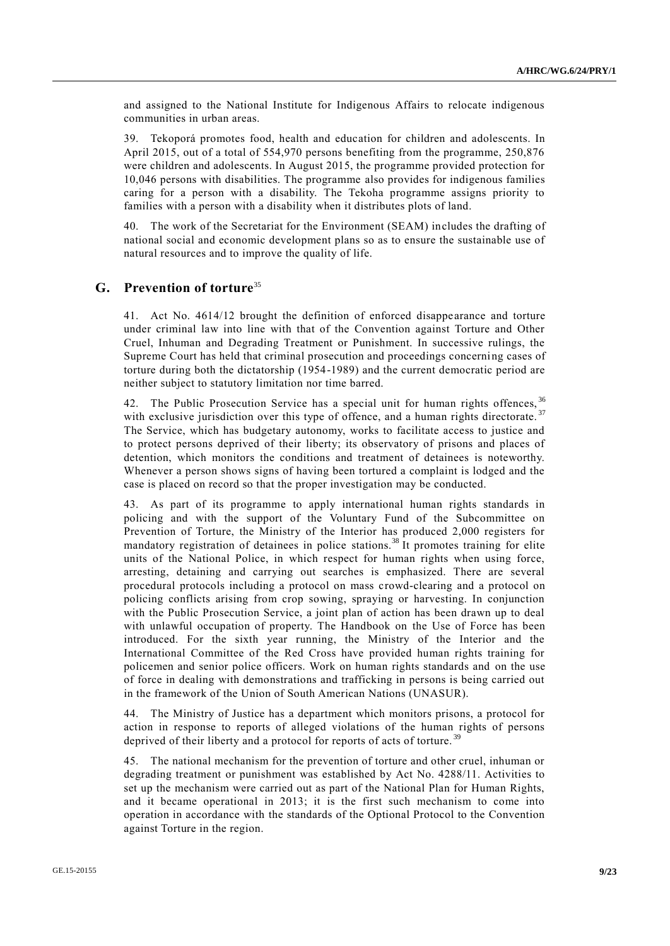and assigned to the National Institute for Indigenous Affairs to relocate indigenous communities in urban areas.

39. Tekoporá promotes food, health and education for children and adolescents. In April 2015, out of a total of 554,970 persons benefiting from the programme, 250,876 were children and adolescents. In August 2015, the programme provided protection for 10,046 persons with disabilities. The programme also provides for indigenous families caring for a person with a disability. The Tekoha programme assigns priority to families with a person with a disability when it distributes plots of land.

The work of the Secretariat for the Environment (SEAM) includes the drafting of national social and economic development plans so as to ensure the sustainable use of natural resources and to improve the quality of life.

#### **G. Prevention of torture**<sup>35</sup>

41. Act No. 4614/12 brought the definition of enforced disappearance and torture under criminal law into line with that of the Convention against Torture and Other Cruel, Inhuman and Degrading Treatment or Punishment. In successive rulings, the Supreme Court has held that criminal prosecution and proceedings concerning cases of torture during both the dictatorship (1954-1989) and the current democratic period are neither subject to statutory limitation nor time barred.

42. The Public Prosecution Service has a special unit for human rights offences, <sup>36</sup> with exclusive jurisdiction over this type of offence, and a human rights directorate.<sup>37</sup> The Service, which has budgetary autonomy, works to facilitate access to justice and to protect persons deprived of their liberty; its observatory of prisons and places of detention, which monitors the conditions and treatment of detainees is noteworthy. Whenever a person shows signs of having been tortured a complaint is lodged and the case is placed on record so that the proper investigation may be conducted.

43. As part of its programme to apply international human rights standards in policing and with the support of the Voluntary Fund of the Subcommittee on Prevention of Torture, the Ministry of the Interior has produced 2,000 registers for mandatory registration of detainees in police stations.<sup>38</sup> It promotes training for elite units of the National Police, in which respect for human rights when using force, arresting, detaining and carrying out searches is emphasized. There are several procedural protocols including a protocol on mass crowd-clearing and a protocol on policing conflicts arising from crop sowing, spraying or harvesting. In conjunction with the Public Prosecution Service, a joint plan of action has been drawn up to deal with unlawful occupation of property. The Handbook on the Use of Force has been introduced. For the sixth year running, the Ministry of the Interior and the International Committee of the Red Cross have provided human rights training for policemen and senior police officers. Work on human rights standards and on the use of force in dealing with demonstrations and trafficking in persons is being carried out in the framework of the Union of South American Nations (UNASUR).

44. The Ministry of Justice has a department which monitors prisons, a protocol for action in response to reports of alleged violations of the human rights of persons deprived of their liberty and a protocol for reports of acts of torture.<sup>39</sup>

45. The national mechanism for the prevention of torture and other cruel, inhuman or degrading treatment or punishment was established by Act No. 4288/11. Activities to set up the mechanism were carried out as part of the National Plan for Human Rights, and it became operational in 2013; it is the first such mechanism to come into operation in accordance with the standards of the Optional Protocol to the Convention against Torture in the region.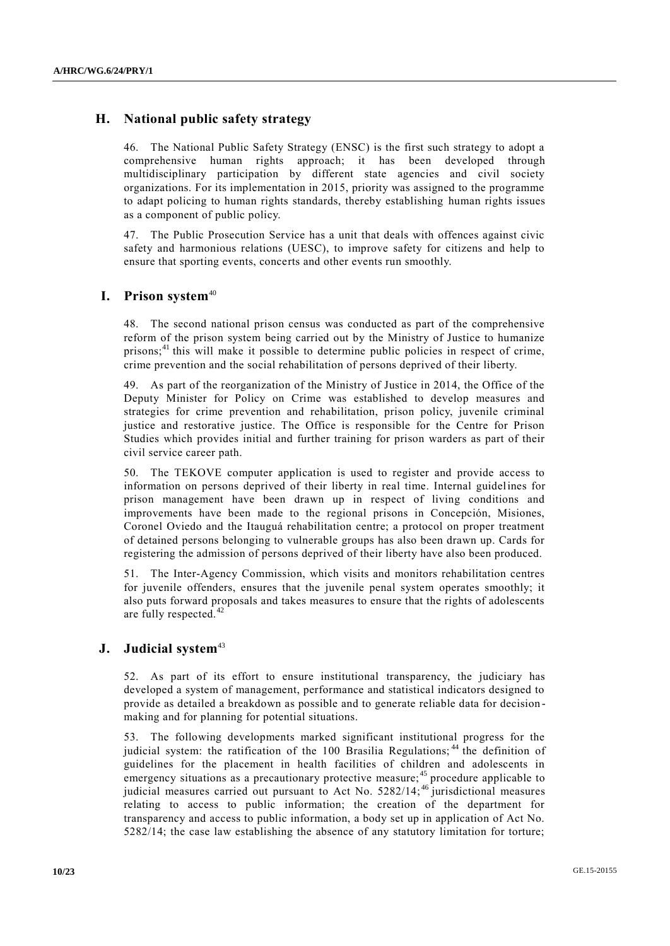## **H. National public safety strategy**

46. The National Public Safety Strategy (ENSC) is the first such strategy to adopt a comprehensive human rights approach; it has been developed through multidisciplinary participation by different state agencies and civil society organizations. For its implementation in 2015, priority was assigned to the programme to adapt policing to human rights standards, thereby establishing human rights issues as a component of public policy.

47. The Public Prosecution Service has a unit that deals with offences against civic safety and harmonious relations (UESC), to improve safety for citizens and help to ensure that sporting events, concerts and other events run smoothly.

#### **I. Prison system**<sup>40</sup>

48. The second national prison census was conducted as part of the comprehensive reform of the prison system being carried out by the Ministry of Justice to humanize prisons; $^{41}$  this will make it possible to determine public policies in respect of crime, crime prevention and the social rehabilitation of persons deprived of their liberty.

49. As part of the reorganization of the Ministry of Justice in 2014, the Office of the Deputy Minister for Policy on Crime was established to develop measures and strategies for crime prevention and rehabilitation, prison policy, juvenile criminal justice and restorative justice. The Office is responsible for the Centre for Prison Studies which provides initial and further training for prison warders as part of their civil service career path.

50. The TEKOVE computer application is used to register and provide access to information on persons deprived of their liberty in real time. Internal guidelines for prison management have been drawn up in respect of living conditions and improvements have been made to the regional prisons in Concepción, Misiones, Coronel Oviedo and the Itauguá rehabilitation centre; a protocol on proper treatment of detained persons belonging to vulnerable groups has also been drawn up. Cards for registering the admission of persons deprived of their liberty have also been produced.

51. The Inter-Agency Commission, which visits and monitors rehabilitation centres for juvenile offenders, ensures that the juvenile penal system operates smoothly; it also puts forward proposals and takes measures to ensure that the rights of adolescents are fully respected. $42$ 

## **J. Judicial system**<sup>43</sup>

52. As part of its effort to ensure institutional transparency, the judiciary has developed a system of management, performance and statistical indicators designed to provide as detailed a breakdown as possible and to generate reliable data for decision making and for planning for potential situations.

53. The following developments marked significant institutional progress for the judicial system: the ratification of the  $100$  Brasilia Regulations;<sup>44</sup> the definition of guidelines for the placement in health facilities of children and adolescents in emergency situations as a precautionary protective measure;<sup>45</sup> procedure applicable to judicial measures carried out pursuant to Act No. 5282/14;<sup>46</sup> jurisdictional measures relating to access to public information; the creation of the department for transparency and access to public information, a body set up in application of Act No. 5282/14; the case law establishing the absence of any statutory limitation for torture;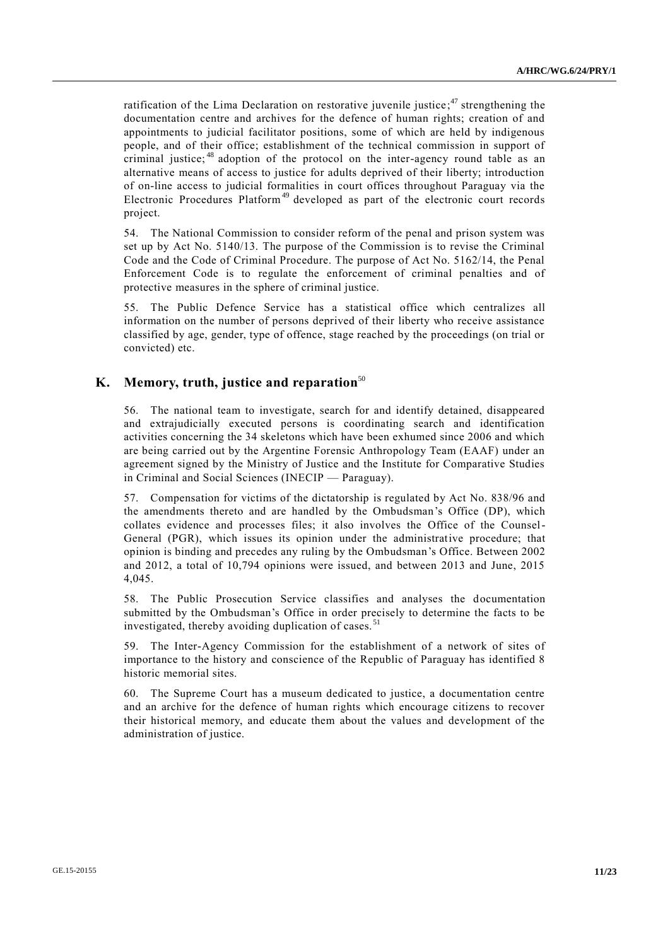ratification of the Lima Declaration on restorative juvenile justice;<sup>47</sup> strengthening the documentation centre and archives for the defence of human rights; creation of and appointments to judicial facilitator positions, some of which are held by indigenous people, and of their office; establishment of the technical commission in support of criminal justice;<sup>48</sup> adoption of the protocol on the inter-agency round table as an alternative means of access to justice for adults deprived of their liberty; introduction of on-line access to judicial formalities in court offices throughout Paraguay via the Electronic Procedures Platform<sup>49</sup> developed as part of the electronic court records project.

54. The National Commission to consider reform of the penal and prison system was set up by Act No. 5140/13. The purpose of the Commission is to revise the Criminal Code and the Code of Criminal Procedure. The purpose of Act No. 5162/14, the Penal Enforcement Code is to regulate the enforcement of criminal penalties and of protective measures in the sphere of criminal justice.

55. The Public Defence Service has a statistical office which centralizes all information on the number of persons deprived of their liberty who receive assistance classified by age, gender, type of offence, stage reached by the proceedings (on trial or convicted) etc.

## **K. Memory, truth, justice and reparation**<sup>50</sup>

56. The national team to investigate, search for and identify detained, disappeared and extrajudicially executed persons is coordinating search and identification activities concerning the 34 skeletons which have been exhumed since 2006 and which are being carried out by the Argentine Forensic Anthropology Team (EAAF) under an agreement signed by the Ministry of Justice and the Institute for Comparative Studies in Criminal and Social Sciences (INECIP — Paraguay).

57. Compensation for victims of the dictatorship is regulated by Act No. 838/96 and the amendments thereto and are handled by the Ombudsman's Office (DP), which collates evidence and processes files; it also involves the Office of the Counsel-General (PGR), which issues its opinion under the administrative procedure; that opinion is binding and precedes any ruling by the Ombudsman's Office. Between 2002 and 2012, a total of 10,794 opinions were issued, and between 2013 and June, 2015 4,045.

58. The Public Prosecution Service classifies and analyses the documentation submitted by the Ombudsman's Office in order precisely to determine the facts to be investigated, thereby avoiding duplication of cases.<sup>51</sup>

59. The Inter-Agency Commission for the establishment of a network of sites of importance to the history and conscience of the Republic of Paraguay has identified 8 historic memorial sites.

60. The Supreme Court has a museum dedicated to justice, a documentation centre and an archive for the defence of human rights which encourage citizens to recover their historical memory, and educate them about the values and development of the administration of justice.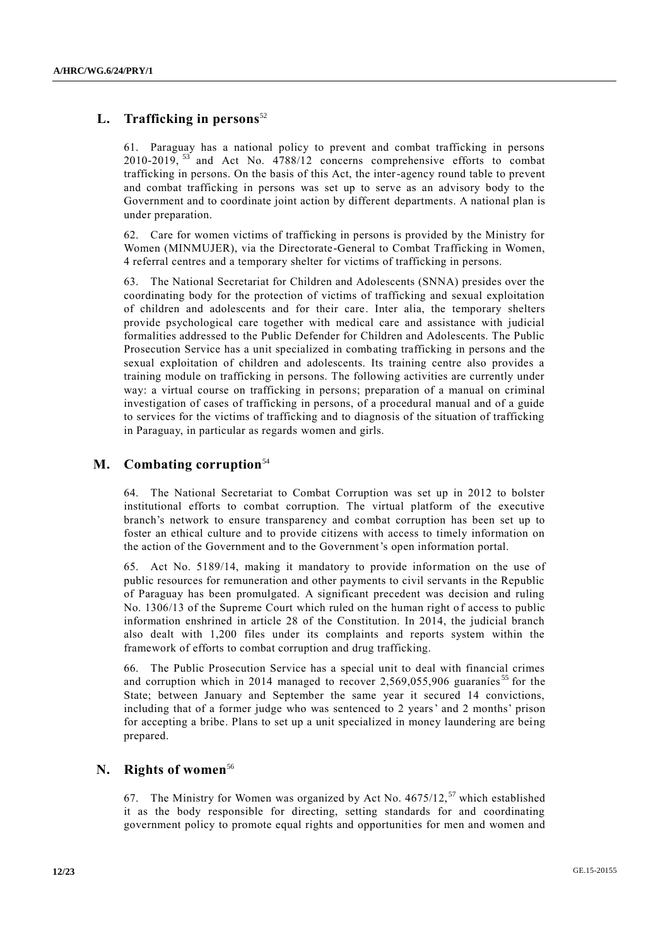# L. **Trafficking in persons**<sup>52</sup>

61. Paraguay has a national policy to prevent and combat trafficking in persons 2010-2019,  $^{53}$  and Act No. 4788/12 concerns comprehensive efforts to combat trafficking in persons. On the basis of this Act, the inter-agency round table to prevent and combat trafficking in persons was set up to serve as an advisory body to the Government and to coordinate joint action by different departments. A national plan is under preparation.

62. Care for women victims of trafficking in persons is provided by the Ministry for Women (MINMUJER), via the Directorate-General to Combat Trafficking in Women, 4 referral centres and a temporary shelter for victims of trafficking in persons.

63. The National Secretariat for Children and Adolescents (SNNA) presides over the coordinating body for the protection of victims of trafficking and sexual exploitation of children and adolescents and for their care. Inter alia, the temporary shelters provide psychological care together with medical care and assistance with judicial formalities addressed to the Public Defender for Children and Adolescents. The Public Prosecution Service has a unit specialized in combating trafficking in persons and the sexual exploitation of children and adolescents. Its training centre also provides a training module on trafficking in persons. The following activities are currently under way: a virtual course on trafficking in persons; preparation of a manual on criminal investigation of cases of trafficking in persons, of a procedural manual and of a guide to services for the victims of trafficking and to diagnosis of the situation of trafficking in Paraguay, in particular as regards women and girls.

#### **M. Combating corruption**<sup>54</sup>

64. The National Secretariat to Combat Corruption was set up in 2012 to bolster institutional efforts to combat corruption. The virtual platform of the executive branch's network to ensure transparency and combat corruption has been set up to foster an ethical culture and to provide citizens with access to timely information on the action of the Government and to the Government's open information portal.

65. Act No. 5189/14, making it mandatory to provide information on the use of public resources for remuneration and other payments to civil servants in the Republic of Paraguay has been promulgated. A significant precedent was decision and ruling No. 1306/13 of the Supreme Court which ruled on the human right of access to public information enshrined in article 28 of the Constitution. In 2014, the judicial branch also dealt with 1,200 files under its complaints and reports system within the framework of efforts to combat corruption and drug trafficking.

66. The Public Prosecution Service has a special unit to deal with financial crimes and corruption which in 2014 managed to recover  $2,569,055,906$  guaranies<sup>55</sup> for the State; between January and September the same year it secured 14 convictions, including that of a former judge who was sentenced to 2 years' and 2 months' prison for accepting a bribe. Plans to set up a unit specialized in money laundering are being prepared.

#### **N. Rights of women**<sup>56</sup>

67. The Ministry for Women was organized by Act No.  $4675/12$ ,  $57$  which established it as the body responsible for directing, setting standards for and coordinating government policy to promote equal rights and opportunities for men and women and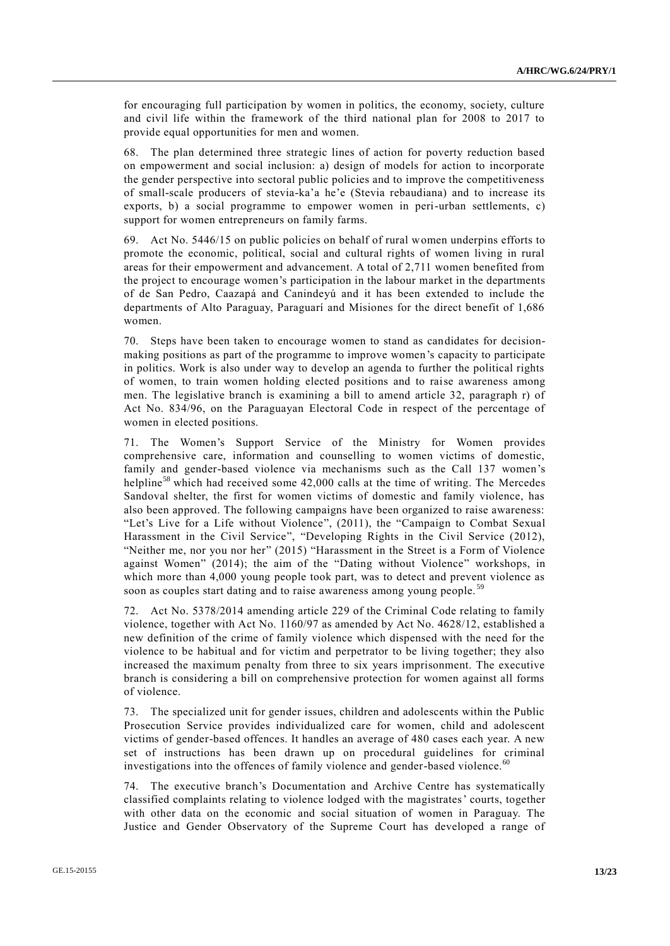for encouraging full participation by women in politics, the economy, society, culture and civil life within the framework of the third national plan for 2008 to 2017 to provide equal opportunities for men and women.

68. The plan determined three strategic lines of action for poverty reduction based on empowerment and social inclusion: a) design of models for action to incorporate the gender perspective into sectoral public policies and to improve the competitiveness of small-scale producers of stevia-ka'a he'e (Stevia rebaudiana) and to increase its exports, b) a social programme to empower women in peri-urban settlements, c) support for women entrepreneurs on family farms.

69. Act No. 5446/15 on public policies on behalf of rural women underpins efforts to promote the economic, political, social and cultural rights of women living in rural areas for their empowerment and advancement. A total of 2,711 women benefited from the project to encourage women's participation in the labour market in the departments of de San Pedro, Caazapá and Canindeyú and it has been extended to include the departments of Alto Paraguay, Paraguarí and Misiones for the direct benefit of 1,686 women.

70. Steps have been taken to encourage women to stand as candidates for decisionmaking positions as part of the programme to improve women's capacity to participate in politics. Work is also under way to develop an agenda to further the political rights of women, to train women holding elected positions and to raise awareness among men. The legislative branch is examining a bill to amend article 32, paragraph r) of Act No. 834/96, on the Paraguayan Electoral Code in respect of the percentage of women in elected positions.

71. The Women's Support Service of the Ministry for Women provides comprehensive care, information and counselling to women victims of domestic, family and gender-based violence via mechanisms such as the Call 137 women's helpline<sup>58</sup> which had received some 42,000 calls at the time of writing. The Mercedes Sandoval shelter, the first for women victims of domestic and family violence, has also been approved. The following campaigns have been organized to raise awareness: "Let's Live for a Life without Violence", (2011), the "Campaign to Combat Sexual Harassment in the Civil Service", "Developing Rights in the Civil Service (2012), "Neither me, nor you nor her" (2015) "Harassment in the Street is a Form of Violence against Women" (2014); the aim of the "Dating without Violence" workshops, in which more than 4,000 young people took part, was to detect and prevent violence as soon as couples start dating and to raise awareness among young people.<sup>5</sup>

72. Act No. 5378/2014 amending article 229 of the Criminal Code relating to family violence, together with Act No. 1160/97 as amended by Act No. 4628/12, established a new definition of the crime of family violence which dispensed with the need for the violence to be habitual and for victim and perpetrator to be living together; they also increased the maximum penalty from three to six years imprisonment. The executive branch is considering a bill on comprehensive protection for women against all forms of violence.

73. The specialized unit for gender issues, children and adolescents within the Public Prosecution Service provides individualized care for women, child and adolescent victims of gender-based offences. It handles an average of 480 cases each year. A new set of instructions has been drawn up on procedural guidelines for criminal investigations into the offences of family violence and gender-based violence.<sup>60</sup>

74. The executive branch's Documentation and Archive Centre has systematically classified complaints relating to violence lodged with the magistrates' courts, together with other data on the economic and social situation of women in Paraguay. The Justice and Gender Observatory of the Supreme Court has developed a range of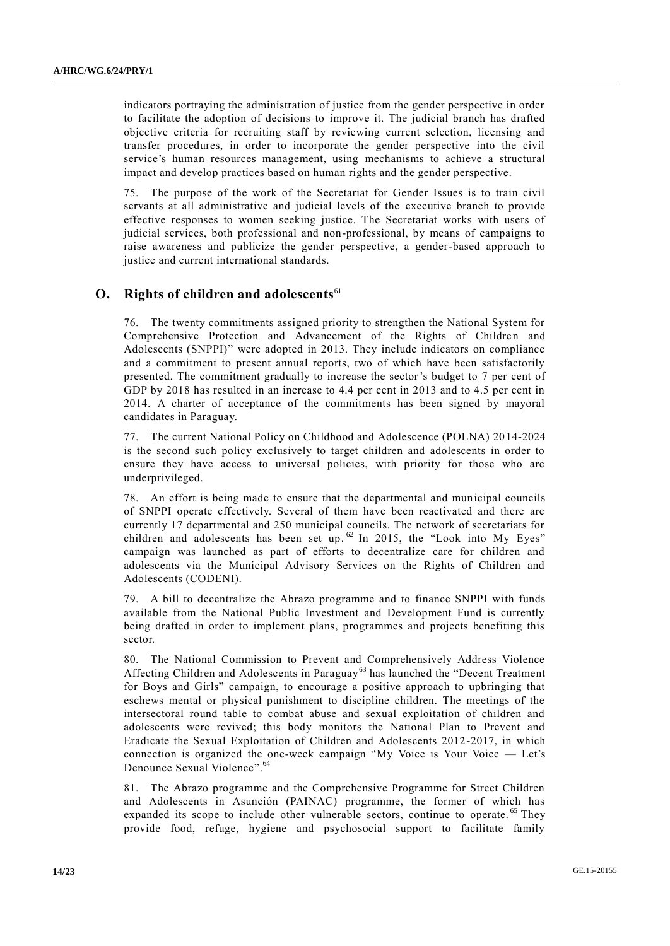indicators portraying the administration of justice from the gender perspective in order to facilitate the adoption of decisions to improve it. The judicial branch has drafted objective criteria for recruiting staff by reviewing current selection, licensing and transfer procedures, in order to incorporate the gender perspective into the civil service's human resources management, using mechanisms to achieve a structural impact and develop practices based on human rights and the gender perspective.

75. The purpose of the work of the Secretariat for Gender Issues is to train civil servants at all administrative and judicial levels of the executive branch to provide effective responses to women seeking justice. The Secretariat works with users of judicial services, both professional and non-professional, by means of campaigns to raise awareness and publicize the gender perspective, a gender-based approach to justice and current international standards.

#### **O.** Rights of children and adolescents<sup>61</sup>

76. The twenty commitments assigned priority to strengthen the National System for Comprehensive Protection and Advancement of the Rights of Children and Adolescents (SNPPI)" were adopted in 2013. They include indicators on compliance and a commitment to present annual reports, two of which have been satisfactorily presented. The commitment gradually to increase the sector's budget to 7 per cent of GDP by 2018 has resulted in an increase to 4.4 per cent in 2013 and to 4.5 per cent in 2014. A charter of acceptance of the commitments has been signed by mayoral candidates in Paraguay.

77. The current National Policy on Childhood and Adolescence (POLNA) 2014-2024 is the second such policy exclusively to target children and adolescents in order to ensure they have access to universal policies, with priority for those who are underprivileged.

78. An effort is being made to ensure that the departmental and municipal councils of SNPPI operate effectively. Several of them have been reactivated and there are currently 17 departmental and 250 municipal councils. The network of secretariats for children and adolescents has been set up.<sup>62</sup> In 2015, the "Look into My Eyes" campaign was launched as part of efforts to decentralize care for children and adolescents via the Municipal Advisory Services on the Rights of Children and Adolescents (CODENI).

79. A bill to decentralize the Abrazo programme and to finance SNPPI with funds available from the National Public Investment and Development Fund is currently being drafted in order to implement plans, programmes and projects benefiting this sector.

80. The National Commission to Prevent and Comprehensively Address Violence Affecting Children and Adolescents in Paraguay<sup>63</sup> has launched the "Decent Treatment for Boys and Girls" campaign, to encourage a positive approach to upbringing that eschews mental or physical punishment to discipline children. The meetings of the intersectoral round table to combat abuse and sexual exploitation of children and adolescents were revived; this body monitors the National Plan to Prevent and Eradicate the Sexual Exploitation of Children and Adolescents 2012-2017, in which connection is organized the one-week campaign "My Voice is Your Voice — Let's Denounce Sexual Violence". 64

81. The Abrazo programme and the Comprehensive Programme for Street Children and Adolescents in Asunción (PAINAC) programme, the former of which has expanded its scope to include other vulnerable sectors, continue to operate.<sup>65</sup> They provide food, refuge, hygiene and psychosocial support to facilitate family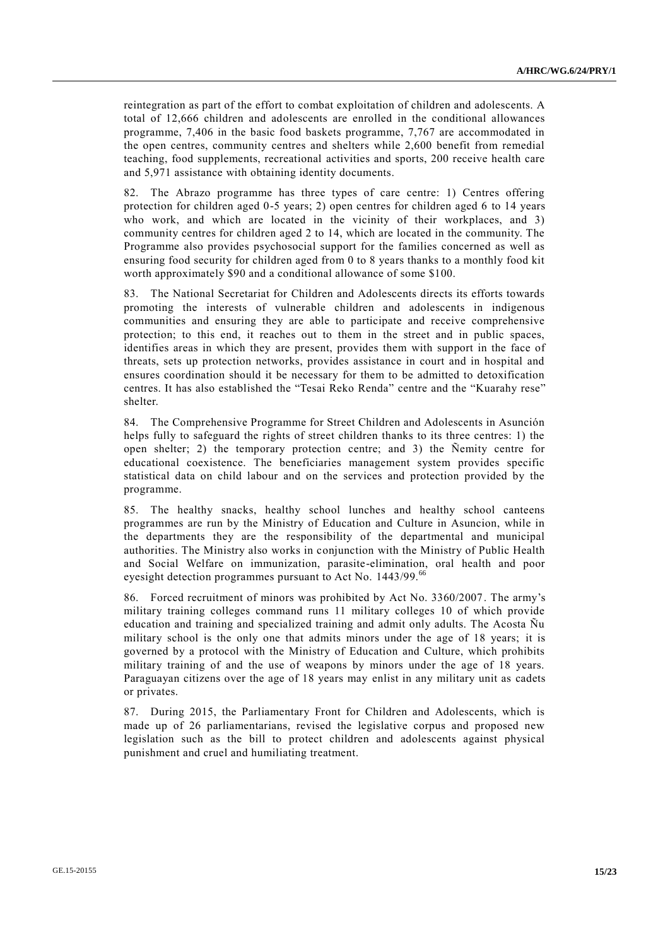reintegration as part of the effort to combat exploitation of children and adolescents. A total of 12,666 children and adolescents are enrolled in the conditional allowances programme, 7,406 in the basic food baskets programme, 7,767 are accommodated in the open centres, community centres and shelters while 2,600 benefit from remedial teaching, food supplements, recreational activities and sports, 200 receive health care and 5,971 assistance with obtaining identity documents.

82. The Abrazo programme has three types of care centre: 1) Centres offering protection for children aged 0-5 years; 2) open centres for children aged 6 to 14 years who work, and which are located in the vicinity of their workplaces, and 3) community centres for children aged 2 to 14, which are located in the community. The Programme also provides psychosocial support for the families concerned as well as ensuring food security for children aged from 0 to 8 years thanks to a monthly food kit worth approximately \$90 and a conditional allowance of some \$100.

83. The National Secretariat for Children and Adolescents directs its efforts towards promoting the interests of vulnerable children and adolescents in indigenous communities and ensuring they are able to participate and receive comprehensive protection; to this end, it reaches out to them in the street and in public spaces, identifies areas in which they are present, provides them with support in the face of threats, sets up protection networks, provides assistance in court and in hospital and ensures coordination should it be necessary for them to be admitted to detoxification centres. It has also established the "Tesai Reko Renda" centre and the "Kuarahy rese" shelter.

84. The Comprehensive Programme for Street Children and Adolescents in Asunción helps fully to safeguard the rights of street children thanks to its three centres: 1) the open shelter; 2) the temporary protection centre; and 3) the Ñemity centre for educational coexistence. The beneficiaries management system provides specific statistical data on child labour and on the services and protection provided by the programme.

85. The healthy snacks, healthy school lunches and healthy school canteens programmes are run by the Ministry of Education and Culture in Asuncion, while in the departments they are the responsibility of the departmental and municipal authorities. The Ministry also works in conjunction with the Ministry of Public Health and Social Welfare on immunization, parasite-elimination, oral health and poor eyesight detection programmes pursuant to Act No.  $1443/99$ .<sup>66</sup>

86. Forced recruitment of minors was prohibited by Act No. 3360/2007. The army's military training colleges command runs 11 military colleges 10 of which provide education and training and specialized training and admit only adults. The Acosta Ñu military school is the only one that admits minors under the age of 18 years; it is governed by a protocol with the Ministry of Education and Culture, which prohibits military training of and the use of weapons by minors under the age of 18 years. Paraguayan citizens over the age of 18 years may enlist in any military unit as cadets or privates.

87. During 2015, the Parliamentary Front for Children and Adolescents, which is made up of 26 parliamentarians, revised the legislative corpus and proposed new legislation such as the bill to protect children and adolescents against physical punishment and cruel and humiliating treatment.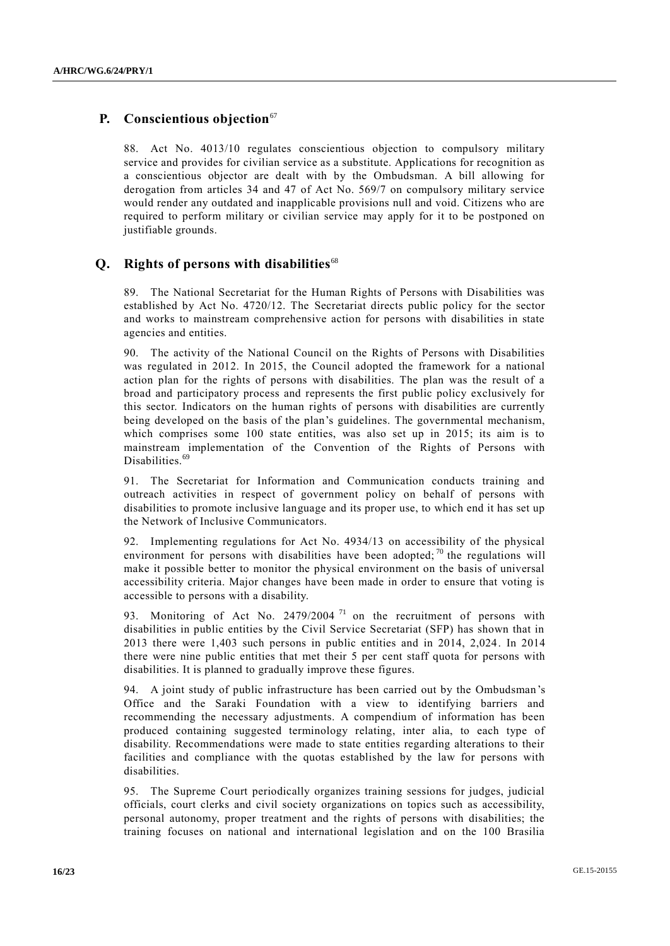# **P.** Conscientious objection<sup>67</sup>

88. Act No. 4013/10 regulates conscientious objection to compulsory military service and provides for civilian service as a substitute. Applications for recognition as a conscientious objector are dealt with by the Ombudsman. A bill allowing for derogation from articles 34 and 47 of Act No. 569/7 on compulsory military service would render any outdated and inapplicable provisions null and void. Citizens who are required to perform military or civilian service may apply for it to be postponed on justifiable grounds.

#### **Q. Rights of persons with disabilities**<sup>68</sup>

89. The National Secretariat for the Human Rights of Persons with Disabilities was established by Act No. 4720/12. The Secretariat directs public policy for the sector and works to mainstream comprehensive action for persons with disabilities in state agencies and entities.

90. The activity of the National Council on the Rights of Persons with Disabilities was regulated in 2012. In 2015, the Council adopted the framework for a national action plan for the rights of persons with disabilities. The plan was the result of a broad and participatory process and represents the first public policy exclusively for this sector. Indicators on the human rights of persons with disabilities are currently being developed on the basis of the plan's guidelines. The governmental mechanism, which comprises some 100 state entities, was also set up in 2015; its aim is to mainstream implementation of the Convention of the Rights of Persons with Disabilities.<sup>69</sup>

91. The Secretariat for Information and Communication conducts training and outreach activities in respect of government policy on behalf of persons with disabilities to promote inclusive language and its proper use, to which end it has set up the Network of Inclusive Communicators.

Implementing regulations for Act No. 4934/13 on accessibility of the physical environment for persons with disabilities have been adopted;  $\frac{1}{10}$  the regulations will make it possible better to monitor the physical environment on the basis of universal accessibility criteria. Major changes have been made in order to ensure that voting is accessible to persons with a disability.

93. Monitoring of Act No. 2479/2004<sup>71</sup> on the recruitment of persons with disabilities in public entities by the Civil Service Secretariat (SFP) has shown that in 2013 there were 1,403 such persons in public entities and in 2014, 2,024. In 2014 there were nine public entities that met their 5 per cent staff quota for persons with disabilities. It is planned to gradually improve these figures.

94. A joint study of public infrastructure has been carried out by the Ombudsman 's Office and the Saraki Foundation with a view to identifying barriers and recommending the necessary adjustments. A compendium of information has been produced containing suggested terminology relating, inter alia, to each type of disability. Recommendations were made to state entities regarding alterations to their facilities and compliance with the quotas established by the law for persons with disabilities.

95. The Supreme Court periodically organizes training sessions for judges, judicial officials, court clerks and civil society organizations on topics such as accessibility, personal autonomy, proper treatment and the rights of persons with disabilities; the training focuses on national and international legislation and on the 100 Brasilia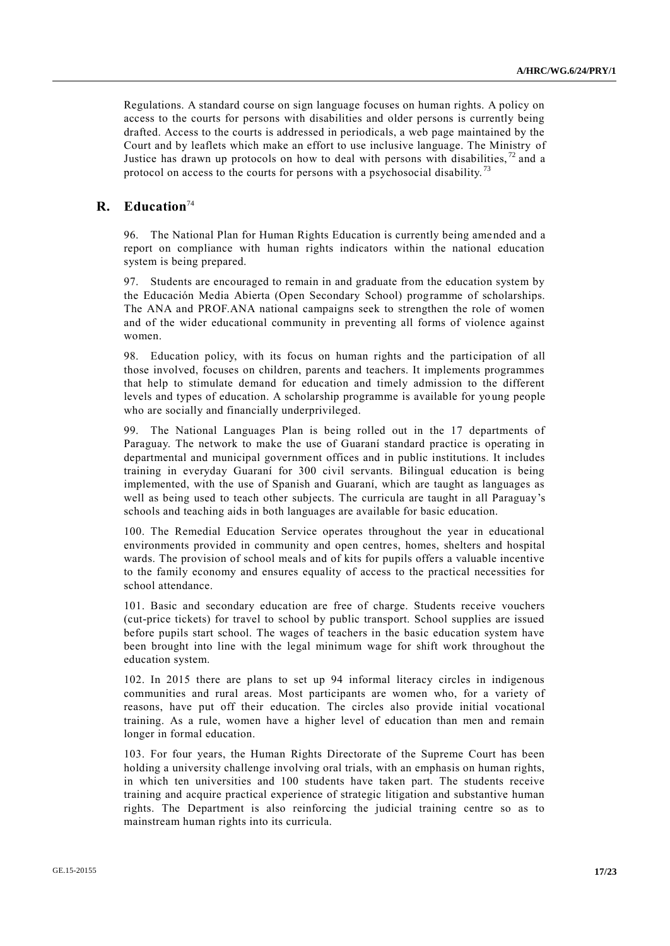Regulations. A standard course on sign language focuses on human rights. A policy on access to the courts for persons with disabilities and older persons is currently being drafted. Access to the courts is addressed in periodicals, a web page maintained by the Court and by leaflets which make an effort to use inclusive language. The Ministry of Justice has drawn up protocols on how to deal with persons with disabilities,  $72$  and a protocol on access to the courts for persons with a psychosocial disability.<sup>73</sup>

#### **R. Education**<sup>74</sup>

96. The National Plan for Human Rights Education is currently being amended and a report on compliance with human rights indicators within the national education system is being prepared.

97. Students are encouraged to remain in and graduate from the education system by the Educación Media Abierta (Open Secondary School) programme of scholarships. The ANA and PROF.ANA national campaigns seek to strengthen the role of women and of the wider educational community in preventing all forms of violence against women.

98. Education policy, with its focus on human rights and the participation of all those involved, focuses on children, parents and teachers. It implements programmes that help to stimulate demand for education and timely admission to the different levels and types of education. A scholarship programme is available for yo ung people who are socially and financially underprivileged.

99. The National Languages Plan is being rolled out in the 17 departments of Paraguay. The network to make the use of Guaraní standard practice is operating in departmental and municipal government offices and in public institutions. It includes training in everyday Guaraní for 300 civil servants. Bilingual education is being implemented, with the use of Spanish and Guaraní, which are taught as languages as well as being used to teach other subjects. The curricula are taught in all Paraguay's schools and teaching aids in both languages are available for basic education.

100. The Remedial Education Service operates throughout the year in educational environments provided in community and open centres, homes, shelters and hospital wards. The provision of school meals and of kits for pupils offers a valuable incentive to the family economy and ensures equality of access to the practical necessities for school attendance.

101. Basic and secondary education are free of charge. Students receive vouchers (cut-price tickets) for travel to school by public transport. School supplies are issued before pupils start school. The wages of teachers in the basic education system have been brought into line with the legal minimum wage for shift work throughout the education system.

102. In 2015 there are plans to set up 94 informal literacy circles in indigenous communities and rural areas. Most participants are women who, for a variety of reasons, have put off their education. The circles also provide initial vocational training. As a rule, women have a higher level of education than men and remain longer in formal education.

103. For four years, the Human Rights Directorate of the Supreme Court has been holding a university challenge involving oral trials, with an emphasis on human rights, in which ten universities and 100 students have taken part. The students receive training and acquire practical experience of strategic litigation and substantive human rights. The Department is also reinforcing the judicial training centre so as to mainstream human rights into its curricula.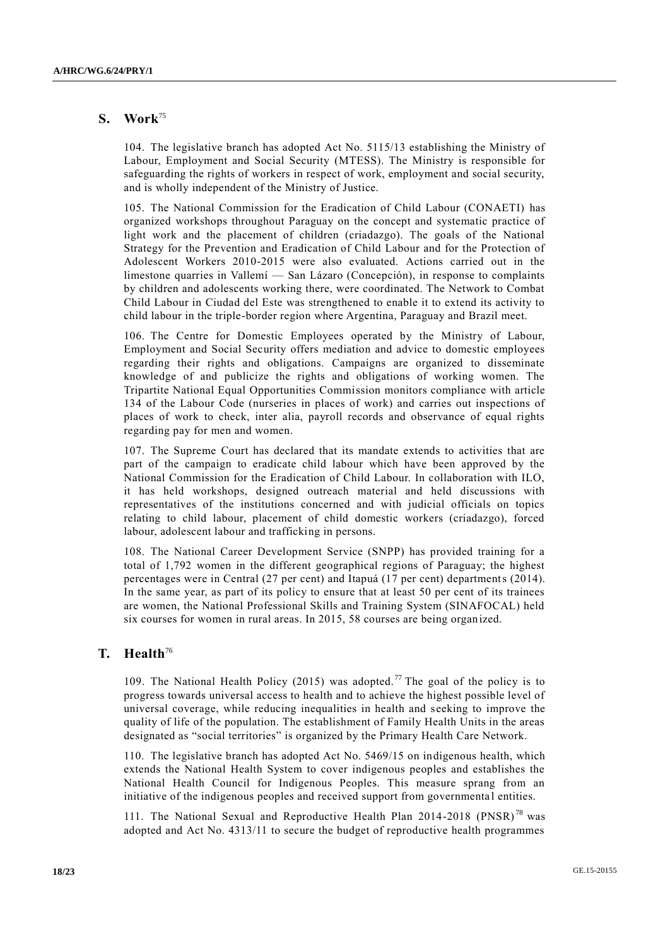## **S. Work**<sup>75</sup>

104. The legislative branch has adopted Act No. 5115/13 establishing the Ministry of Labour, Employment and Social Security (MTESS). The Ministry is responsible for safeguarding the rights of workers in respect of work, employment and social security, and is wholly independent of the Ministry of Justice.

105. The National Commission for the Eradication of Child Labour (CONAETI) has organized workshops throughout Paraguay on the concept and systematic practice of light work and the placement of children (criadazgo). The goals of the National Strategy for the Prevention and Eradication of Child Labour and for the Protection of Adolescent Workers 2010-2015 were also evaluated. Actions carried out in the limestone quarries in Vallemí — San Lázaro (Concepción), in response to complaints by children and adolescents working there, were coordinated. The Network to Combat Child Labour in Ciudad del Este was strengthened to enable it to extend its activity to child labour in the triple-border region where Argentina, Paraguay and Brazil meet.

106. The Centre for Domestic Employees operated by the Ministry of Labour, Employment and Social Security offers mediation and advice to domestic employees regarding their rights and obligations. Campaigns are organized to disseminate knowledge of and publicize the rights and obligations of working women. The Tripartite National Equal Opportunities Commission monitors compliance with article 134 of the Labour Code (nurseries in places of work) and carries out inspections of places of work to check, inter alia, payroll records and observance of equal rights regarding pay for men and women.

107. The Supreme Court has declared that its mandate extends to activities that are part of the campaign to eradicate child labour which have been approved by the National Commission for the Eradication of Child Labour. In collaboration with ILO, it has held workshops, designed outreach material and held discussions with representatives of the institutions concerned and with judicial officials on topics relating to child labour, placement of child domestic workers (criadazgo), forced labour, adolescent labour and trafficking in persons.

108. The National Career Development Service (SNPP) has provided training for a total of 1,792 women in the different geographical regions of Paraguay; the highest percentages were in Central (27 per cent) and Itapuá (17 per cent) departments (2014). In the same year, as part of its policy to ensure that at least 50 per cent of its trainees are women, the National Professional Skills and Training System (SINAFOCAL) held six courses for women in rural areas. In 2015, 58 courses are being organized.

#### **T. Health**<sup>76</sup>

109. The National Health Policy (2015) was adopted.<sup>77</sup> The goal of the policy is to progress towards universal access to health and to achieve the highest possible level of universal coverage, while reducing inequalities in health and seeking to improve the quality of life of the population. The establishment of Family Health Units in the areas designated as "social territories" is organized by the Primary Health Care Network.

110. The legislative branch has adopted Act No. 5469/15 on indigenous health, which extends the National Health System to cover indigenous peoples and establishes the National Health Council for Indigenous Peoples. This measure sprang from an initiative of the indigenous peoples and received support from governmenta l entities.

111. The National Sexual and Reproductive Health Plan  $2014-2018$  (PNSR)<sup>78</sup> was adopted and Act No. 4313/11 to secure the budget of reproductive health programmes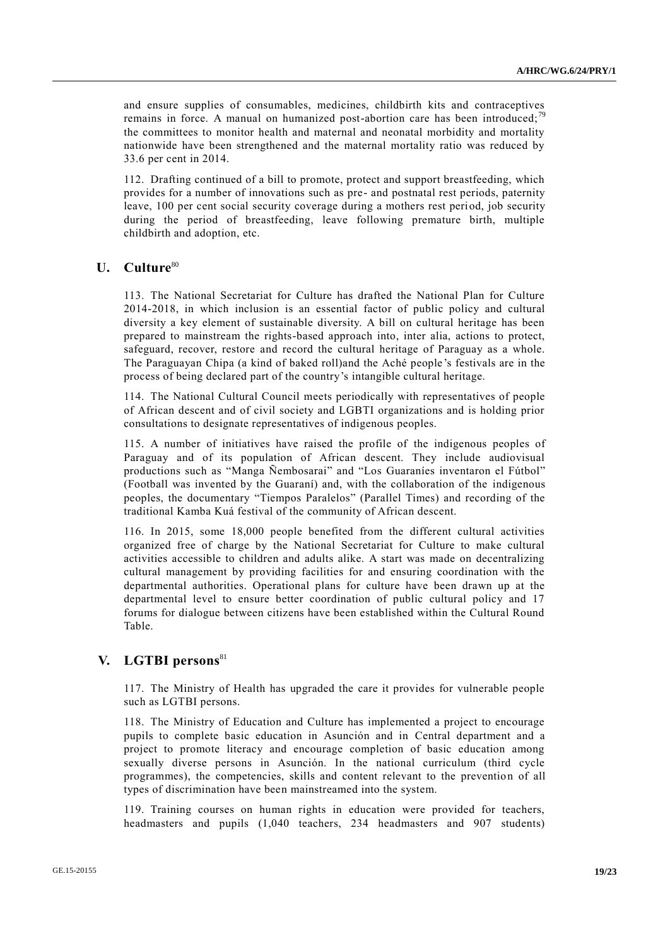and ensure supplies of consumables, medicines, childbirth kits and contraceptives remains in force. A manual on humanized post-abortion care has been introduced;<sup>79</sup> the committees to monitor health and maternal and neonatal morbidity and mortality nationwide have been strengthened and the maternal mortality ratio was reduced by 33.6 per cent in 2014.

112. Drafting continued of a bill to promote, protect and support breastfeeding, which provides for a number of innovations such as pre- and postnatal rest periods, paternity leave, 100 per cent social security coverage during a mothers rest period, job security during the period of breastfeeding, leave following premature birth, multiple childbirth and adoption, etc.

#### **U. Culture**<sup>80</sup>

113. The National Secretariat for Culture has drafted the National Plan for Culture 2014-2018, in which inclusion is an essential factor of public policy and cultural diversity a key element of sustainable diversity. A bill on cultural heritage has been prepared to mainstream the rights-based approach into, inter alia, actions to protect, safeguard, recover, restore and record the cultural heritage of Paraguay as a whole. The Paraguayan Chipa (a kind of baked roll)and the Aché people 's festivals are in the process of being declared part of the country's intangible cultural heritage.

114. The National Cultural Council meets periodically with representatives of people of African descent and of civil society and LGBTI organizations and is holding prior consultations to designate representatives of indigenous peoples.

115. A number of initiatives have raised the profile of the indigenous peoples of Paraguay and of its population of African descent. They include audiovisual productions such as "Manga Ñembosarai" and "Los Guaraníes inventaron el Fútbol" (Football was invented by the Guaraní) and, with the collaboration of the indigenous peoples, the documentary "Tiempos Paralelos" (Parallel Times) and recording of the traditional Kamba Kuá festival of the community of African descent.

116. In 2015, some 18,000 people benefited from the different cultural activities organized free of charge by the National Secretariat for Culture to make cultural activities accessible to children and adults alike. A start was made on decentralizing cultural management by providing facilities for and ensuring coordination with the departmental authorities. Operational plans for culture have been drawn up at the departmental level to ensure better coordination of public cultural policy and 17 forums for dialogue between citizens have been established within the Cultural Round Table.

# **V. LGTBI persons**<sup>81</sup>

117. The Ministry of Health has upgraded the care it provides for vulnerable people such as LGTBI persons.

118. The Ministry of Education and Culture has implemented a project to encourage pupils to complete basic education in Asunción and in Central department and a project to promote literacy and encourage completion of basic education among sexually diverse persons in Asunción. In the national curriculum (third cycle programmes), the competencies, skills and content relevant to the prevention of all types of discrimination have been mainstreamed into the system.

119. Training courses on human rights in education were provided for teachers, headmasters and pupils (1,040 teachers, 234 headmasters and 907 students)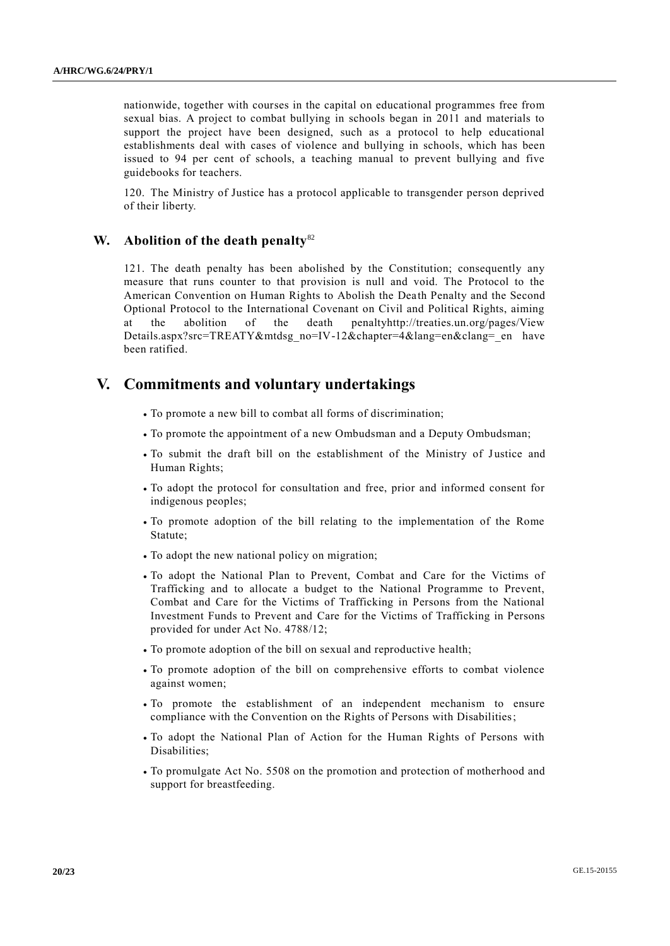nationwide, together with courses in the capital on educational programmes free from sexual bias. A project to combat bullying in schools began in 2011 and materials to support the project have been designed, such as a protocol to help educational establishments deal with cases of violence and bullying in schools, which has been issued to 94 per cent of schools, a teaching manual to prevent bullying and five guidebooks for teachers.

120. The Ministry of Justice has a protocol applicable to transgender person deprived of their liberty.

#### **W. Abolition of the death penalty**<sup>82</sup>

121. The death penalty has been abolished by the Constitution; consequently any measure that runs counter to that provision is null and void. The Protocol to the American Convention on Human Rights to Abolish the Death Penalty and the Second Optional Protocol to the International Covenant on Civil and Political Rights, aiming at the abolition of the death penaltyhttp://treaties.un.org/pages/View Details.aspx?src=TREATY&mtdsg\_no=IV-12&chapter=4&lang=en&clang=\_en have been ratified.

# **V. Commitments and voluntary undertakings**

- To promote a new bill to combat all forms of discrimination;
- To promote the appointment of a new Ombudsman and a Deputy Ombudsman;
- To submit the draft bill on the establishment of the Ministry of Justice and Human Rights;
- To adopt the protocol for consultation and free, prior and informed consent for indigenous peoples;
- To promote adoption of the bill relating to the implementation of the Rome Statute;
- To adopt the new national policy on migration;
- To adopt the National Plan to Prevent, Combat and Care for the Victims of Trafficking and to allocate a budget to the National Programme to Prevent, Combat and Care for the Victims of Trafficking in Persons from the National Investment Funds to Prevent and Care for the Victims of Trafficking in Persons provided for under Act No. 4788/12;
- To promote adoption of the bill on sexual and reproductive health;
- To promote adoption of the bill on comprehensive efforts to combat violence against women;
- To promote the establishment of an independent mechanism to ensure compliance with the Convention on the Rights of Persons with Disabilities;
- To adopt the National Plan of Action for the Human Rights of Persons with Disabilities;
- To promulgate Act No. 5508 on the promotion and protection of motherhood and support for breastfeeding.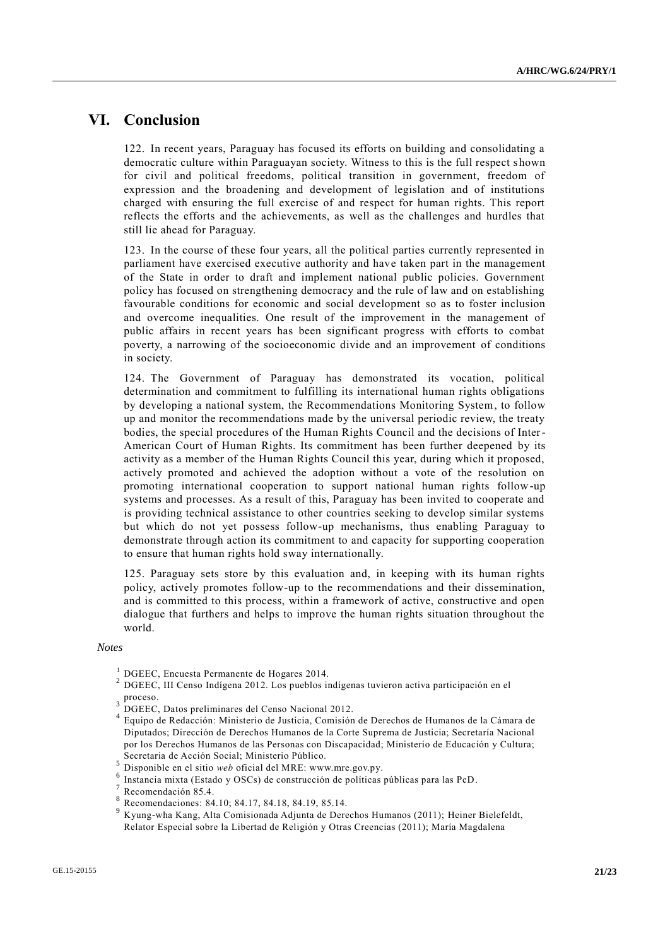# **VI. Conclusion**

122. In recent years, Paraguay has focused its efforts on building and consolidating a democratic culture within Paraguayan society. Witness to this is the full respect s hown for civil and political freedoms, political transition in government, freedom of expression and the broadening and development of legislation and of institutions charged with ensuring the full exercise of and respect for human rights. This report reflects the efforts and the achievements, as well as the challenges and hurdles that still lie ahead for Paraguay.

123. In the course of these four years, all the political parties currently represented in parliament have exercised executive authority and have taken part in the management of the State in order to draft and implement national public policies. Government policy has focused on strengthening democracy and the rule of law and on establishing favourable conditions for economic and social development so as to foster inclusion and overcome inequalities. One result of the improvement in the management of public affairs in recent years has been significant progress with efforts to combat poverty, a narrowing of the socioeconomic divide and an improvement of conditions in society.

124. The Government of Paraguay has demonstrated its vocation, political determination and commitment to fulfilling its international human rights obligations by developing a national system, the Recommendations Monitoring System, to follow up and monitor the recommendations made by the universal periodic review, the treaty bodies, the special procedures of the Human Rights Council and the decisions of Inter-American Court of Human Rights. Its commitment has been further deepened by its activity as a member of the Human Rights Council this year, during which it proposed, actively promoted and achieved the adoption without a vote of the resolution on promoting international cooperation to support national human rights follow-up systems and processes. As a result of this, Paraguay has been invited to cooperate and is providing technical assistance to other countries seeking to develop similar systems but which do not yet possess follow-up mechanisms, thus enabling Paraguay to demonstrate through action its commitment to and capacity for supporting cooperation to ensure that human rights hold sway internationally.

125. Paraguay sets store by this evaluation and, in keeping with its human rights policy, actively promotes follow-up to the recommendations and their dissemination, and is committed to this process, within a framework of active, constructive and open dialogue that furthers and helps to improve the human rights situation throughout the world.

#### *Notes*

- <sup>1</sup> DGEEC, Encuesta Permanente de Hogares 2014.
- <sup>2</sup> DGEEC, III Censo Indígena 2012. Los pueblos indígenas tuvieron activa participación en el proceso.
- $3 \overline{DGEEC}$ , Datos preliminares del Censo Nacional 2012.
- 4 Equipo de Redacción: Ministerio de Justicia, Comisión de Derechos de Humanos de la Cámara de Diputados; Dirección de Derechos Humanos de la Corte Suprema de Justicia; Secretaría Nacional por los Derechos Humanos de las Personas con Discapacidad; Ministerio de Educación y Cultura; Secretaria de Acción Social; Ministerio Público.
- <sup>5</sup> Disponible en el sitio *web* oficial del MRE: www.mre.gov.py.
- 6 Instancia mixta (Estado y OSCs) de construcción de políticas públicas para las PcD.

- 8 Recomendaciones: 84.10; 84.17, 84.18, 84.19, 85.14.
- <sup>9</sup> Kyung-wha Kang, Alta Comisionada Adjunta de Derechos Humanos (2011); Heiner Bielefeldt, Relator Especial sobre la Libertad de Religión y Otras Creencias (2011); María Magdalena

<sup>7</sup> Recomendación 85.4.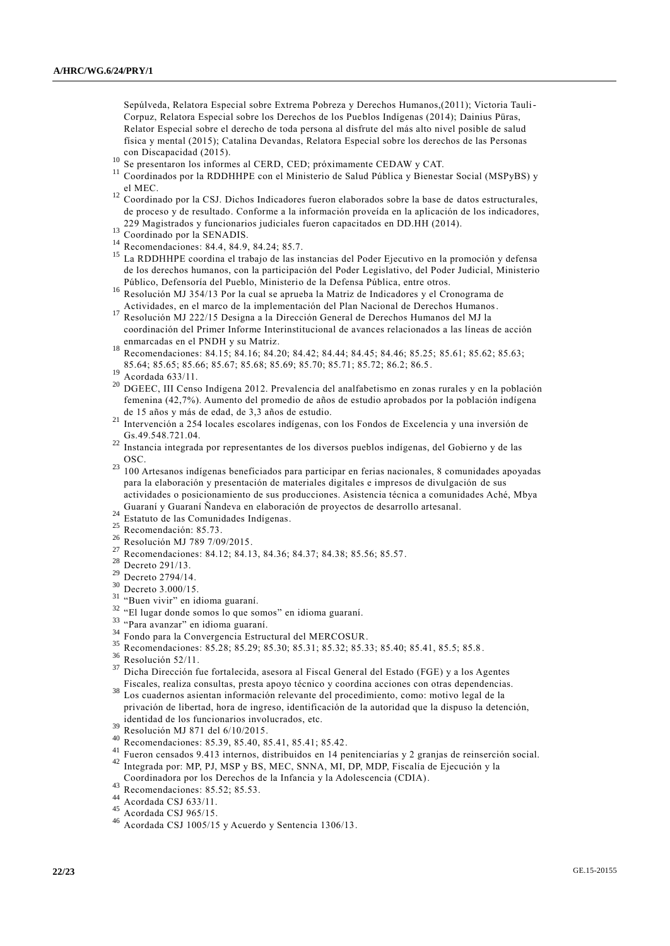Sepúlveda, Relatora Especial sobre Extrema Pobreza y Derechos Humanos,(2011); Victoria Tauli-Corpuz, Relatora Especial sobre los Derechos de los Pueblos Indígenas (2014); Dainius Püras, Relator Especial sobre el derecho de toda persona al disfrute del más alto nivel posible de salud física y mental (2015); Catalina Devandas, Relatora Especial sobre los derechos de las Personas con Discapacidad (2015).

- <sup>10</sup> Se presentaron los informes al CERD, CED; próximamente CEDAW y CAT.
- <sup>11</sup> Coordinados por la RDDHHPE con el Ministerio de Salud Pública y Bienestar Social (MSPyBS) y el MEC.
- <sup>12</sup> Coordinado por la CSJ. Dichos Indicadores fueron elaborados sobre la base de datos estructurales, de proceso y de resultado. Conforme a la información proveída en la aplicación de los indicadores, 229 Magistrados y funcionarios judiciales fueron capacitados en DD.HH (2014).
- $^{13}$  Coordinado por la SENADIS.
- <sup>14</sup> Recomendaciones: 84.4, 84.9, 84.24; 85.7.<br><sup>15</sup> Le PDDUUDE escadina al trabaja de las im
- <sup>15</sup> La RDDHHPE coordina el trabajo de las instancias del Poder Ejecutivo en la promoción y defensa de los derechos humanos, con la participación del Poder Legislativo, del Poder Judicial, Ministerio Público, Defensoría del Pueblo, Ministerio de la Defensa Pública, entre otros.
- <sup>16</sup> Resolución MJ 354/13 Por la cual se aprueba la Matriz de Indicadores y el Cronograma de Actividades, en el marco de la implementación del Plan Nacional de Derechos Humanos.
- <sup>17</sup> Resolución MJ 222/15 Designa a la Dirección General de Derechos Humanos del MJ la coordinación del Primer Informe Interinstitucional de avances relacionados a las líneas de acción enmarcadas en el PNDH y su Matriz.
- <sup>18</sup> Recomendaciones: 84.15; 84.16; 84.20; 84.42; 84.44; 84.45; 84.46; 85.25; 85.61; 85.62; 85.63; 85.64; 85.65; 85.66; 85.67; 85.68; 85.69; 85.70; 85.71; 85.72; 86.2; 86.5.
- $^{19}$  Acordada 633/11.
- <sup>20</sup> DGEEC, III Censo Indígena 2012. Prevalencia del analfabetismo en zonas rurales y en la población femenina (42,7%). Aumento del promedio de años de estudio aprobados por la población indígena de 15 años y más de edad, de 3,3 años de estudio.
- <sup>21</sup> Intervención a 254 locales escolares indígenas, con los Fondos de Excelencia y una inversión de Gs.49.548.721.04.
- <sup>22</sup> Instancia integrada por representantes de los diversos pueblos indígenas, del Gobierno y de las OSC.
- <sup>23</sup> 100 Artesanos indígenas beneficiados para participar en ferias nacionales, 8 comunidades apoyadas para la elaboración y presentación de materiales digitales e impresos de divulgación de sus actividades o posicionamiento de sus producciones. Asistencia técnica a comunidades Aché, Mbya Guaraní y Guaraní Ñandeva en elaboración de proyectos de desarrollo artesanal.
- <sup>24</sup> Estatuto de las Comunidades Indígenas.
- 
- $^{25}$  Recomendación: 85.73.
- $\frac{26}{27}$  Resolución MJ 789 7/09/2015.
- <sup>27</sup> Recomendaciones: 84.12; 84.13, 84.36; 84.37; 84.38; 85.56; 85.57.<br><sup>28</sup> R
- $\frac{28}{29}$  Decreto 291/13.
- $^{29}$  Decreto 2794/14.
- Decreto 3.000/15.
- <sup>31</sup> "Buen vivir" en idioma guaraní.
- <sup>32</sup> "El lugar donde somos lo que somos" en idioma guaraní.
- <sup>33</sup> "Para avanzar" en idioma guaraní.
- <sup>34</sup> Fondo para la Convergencia Estructural del MERCOSUR.
- <sup>35</sup> Recomendaciones: 85.28; 85.29; 85.30; 85.31; 85.32; 85.33; 85.40; 85.41, 85.5; 85.8 .
- $\frac{36}{37}$  Resolución 52/11.

<sup>37</sup> Dicha Dirección fue fortalecida, asesora al Fiscal General del Estado (FGE) y a los Agentes Fiscales, realiza consultas, presta apoyo técnico y coordina acciones con otras dependencias.

- Los cuadernos asientan información relevante del procedimiento, como: motivo legal de la privación de libertad, hora de ingreso, identificación de la autoridad que la dispuso la detención, identidad de los funcionarios involucrados, etc.
- $39$  Resolución MJ 871 del 6/10/2015.
- 40 Recomendaciones: 85.39, 85.40, 85.41, 85.41; 85.42.
- <sup>41</sup> Fueron censados 9.413 internos, distribuidos en 14 penitenciarías y 2 granjas de reinserción social. <sup>42</sup> Integrada por: MP, PJ, MSP y BS, MEC, SNNA, MI, DP, MDP, Fiscalía de Ejecución y la
- Coordinadora por los Derechos de la Infancia y la Adolescencia (CDIA).
- $^{43}$  Recomendaciones: 85.52; 85.53.
- $^{44}$  Acordada CSJ 633/11.
- Acordada CSJ 965/15.
- <sup>46</sup> Acordada CSJ 1005/15 y Acuerdo y Sentencia 1306/13.